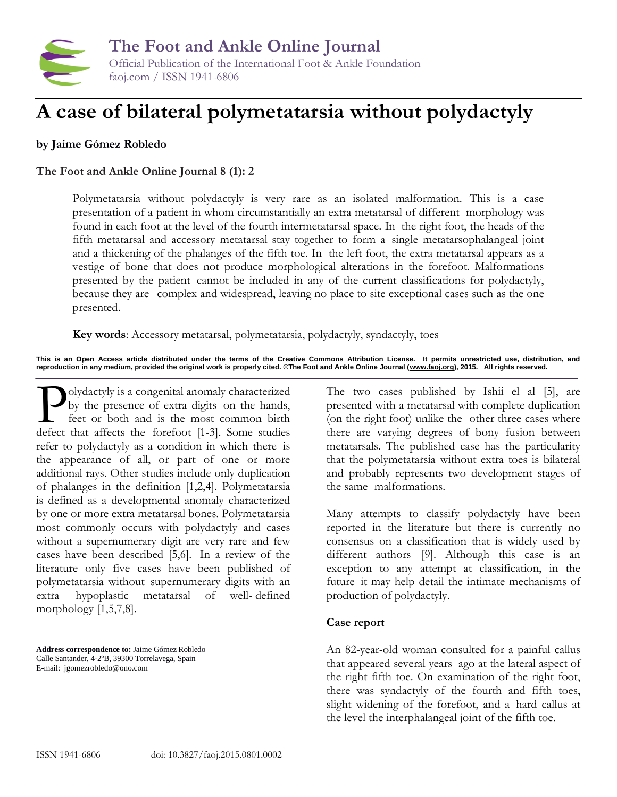

# **A case of bilateral polymetatarsia without polydactyly**

# **by Jaime Gómez Robledo**

## **The Foot and Ankle Online Journal 8 (1): 2**

Polymetatarsia without polydactyly is very rare as an isolated malformation. This is a case presentation of a patient in whom circumstantially an extra metatarsal of different morphology was found in each foot at the level of the fourth intermetatarsal space. In the right foot, the heads of the fifth metatarsal and accessory metatarsal stay together to form a single metatarsophalangeal joint and a thickening of the phalanges of the fifth toe. In the left foot, the extra metatarsal appears as a vestige of bone that does not produce morphological alterations in the forefoot. Malformations presented by the patient cannot be included in any of the current classifications for polydactyly, because they are complex and widespread, leaving no place to site exceptional cases such as the one presented.

**Key words**: Accessory metatarsal, polymetatarsia, polydactyly, syndactyly, toes

**This is an Open Access article distributed under the terms of the Creative Commons Attribution License. It permits unrestricted use, distribution, and reproduction in any medium, provided the original work is properly cited. ©The Foot and Ankle Online Journal [\(www.faoj.org\)](http://www.faoj.org/), 2015. All rights reserved.**

olydactyly is a congenital anomaly characterized by the presence of extra digits on the hands, feet or both and is the most common birth Jolydactyly is a congenital anomaly characterized<br>by the presence of extra digits on the hands,<br>feet or both and is the most common birth<br>defect that affects the forefoot [1-3]. Some studies refer to polydactyly as a condition in which there is the appearance of all, or part of one or more additional rays. Other studies include only duplication of phalanges in the definition [1,2,4]. Polymetatarsia is defined as a developmental anomaly characterized by one or more extra metatarsal bones. Polymetatarsia most commonly occurs with polydactyly and cases without a supernumerary digit are very rare and few cases have been described [5,6]. In a review of the literature only five cases have been published of polymetatarsia without supernumerary digits with an extra hypoplastic metatarsal of well- defined morphology [1,5,7,8].

**Address correspondence to:** Jaime Gómez Robledo Calle Santander, 4-2ºB, 39300 Torrelavega, Spain E-mail: jgomezrobledo@ono.com

The two cases published by Ishii el al [5], are presented with a metatarsal with complete duplication (on the right foot) unlike the other three cases where there are varying degrees of bony fusion between metatarsals. The published case has the particularity that the polymetatarsia without extra toes is bilateral and probably represents two development stages of the same malformations.

Many attempts to classify polydactyly have been reported in the literature but there is currently no consensus on a classification that is widely used by different authors [9]. Although this case is an exception to any attempt at classification, in the future it may help detail the intimate mechanisms of production of polydactyly.

#### **Case report**

An 82-year-old woman consulted for a painful callus that appeared several years ago at the lateral aspect of the right fifth toe. On examination of the right foot, there was syndactyly of the fourth and fifth toes, slight widening of the forefoot, and a hard callus at the level the interphalangeal joint of the fifth toe.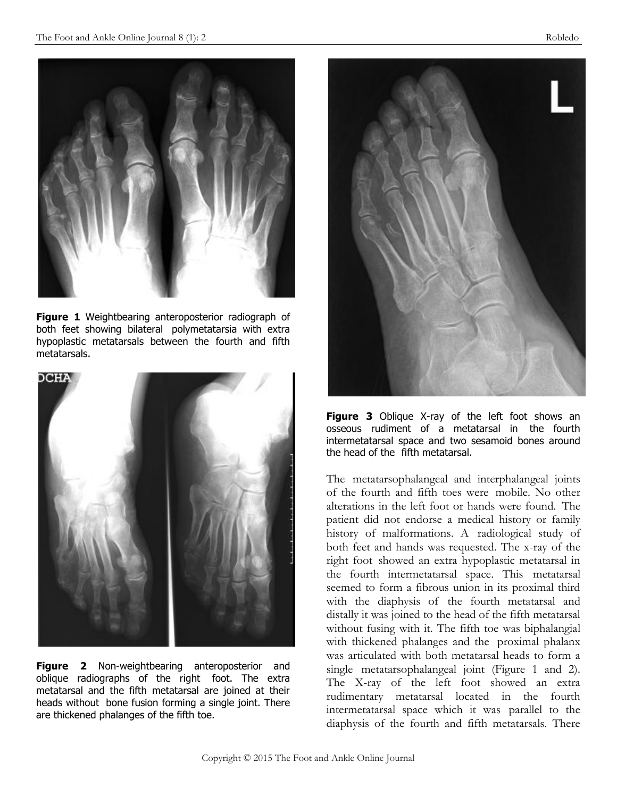

**Figure 1** Weightbearing anteroposterior radiograph of both feet showing bilateral polymetatarsia with extra hypoplastic metatarsals between the fourth and fifth metatarsals.



**Figure 2** Non-weightbearing anteroposterior and oblique radiographs of the right foot. The extra metatarsal and the fifth metatarsal are joined at their heads without bone fusion forming a single joint. There are thickened phalanges of the fifth toe.



**Figure 3** Oblique X-ray of the left foot shows an osseous rudiment of a metatarsal in the fourth intermetatarsal space and two sesamoid bones around the head of the fifth metatarsal.

The metatarsophalangeal and interphalangeal joints of the fourth and fifth toes were mobile. No other alterations in the left foot or hands were found. The patient did not endorse a medical history or family history of malformations. A radiological study of both feet and hands was requested. The x-ray of the right foot showed an extra hypoplastic metatarsal in the fourth intermetatarsal space. This metatarsal seemed to form a fibrous union in its proximal third with the diaphysis of the fourth metatarsal and distally it was joined to the head of the fifth metatarsal without fusing with it. The fifth toe was biphalangial with thickened phalanges and the proximal phalanx was articulated with both metatarsal heads to form a single metatarsophalangeal joint (Figure 1 and 2). The X-ray of the left foot showed an extra rudimentary metatarsal located in the fourth intermetatarsal space which it was parallel to the diaphysis of the fourth and fifth metatarsals. There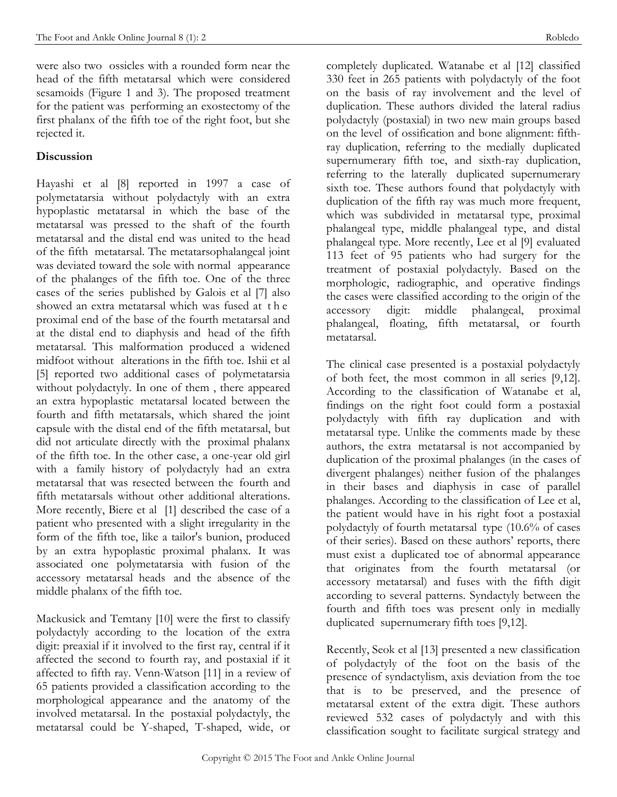were also two ossicles with a rounded form near the head of the fifth metatarsal which were considered sesamoids (Figure 1 and 3). The proposed treatment for the patient was performing an exostectomy of the first phalanx of the fifth toe of the right foot, but she rejected it.

## **Discussion**

Hayashi et al [8] reported in 1997 a case of polymetatarsia without polydactyly with an extra hypoplastic metatarsal in which the base of the metatarsal was pressed to the shaft of the fourth metatarsal and the distal end was united to the head of the fifth metatarsal. The metatarsophalangeal joint was deviated toward the sole with normal appearance of the phalanges of the fifth toe. One of the three cases of the series published by Galois et al [7] also showed an extra metatarsal which was fused at t h e proximal end of the base of the fourth metatarsal and at the distal end to diaphysis and head of the fifth metatarsal. This malformation produced a widened midfoot without alterations in the fifth toe. Ishii et al [5] reported two additional cases of polymetatarsia without polydactyly. In one of them , there appeared an extra hypoplastic metatarsal located between the fourth and fifth metatarsals, which shared the joint capsule with the distal end of the fifth metatarsal, but did not articulate directly with the proximal phalanx of the fifth toe. In the other case, a one-year old girl with a family history of polydactyly had an extra metatarsal that was resected between the fourth and fifth metatarsals without other additional alterations. More recently, Biere et al [1] described the case of a patient who presented with a slight irregularity in the form of the fifth toe, like a tailor's bunion, produced by an extra hypoplastic proximal phalanx. It was associated one polymetatarsia with fusion of the accessory metatarsal heads and the absence of the middle phalanx of the fifth toe.

Mackusick and Temtany [10] were the first to classify polydactyly according to the location of the extra digit: preaxial if it involved to the first ray, central if it affected the second to fourth ray, and postaxial if it affected to fifth ray. Venn-Watson [11] in a review of 65 patients provided a classification according to the morphological appearance and the anatomy of the involved metatarsal. In the postaxial polydactyly, the metatarsal could be Y-shaped, T-shaped, wide, or

completely duplicated. Watanabe et al [12] classified 330 feet in 265 patients with polydactyly of the foot on the basis of ray involvement and the level of duplication. These authors divided the lateral radius polydactyly (postaxial) in two new main groups based on the level of ossification and bone alignment: fifthray duplication, referring to the medially duplicated supernumerary fifth toe, and sixth-ray duplication, referring to the laterally duplicated supernumerary sixth toe. These authors found that polydactyly with duplication of the fifth ray was much more frequent, which was subdivided in metatarsal type, proximal phalangeal type, middle phalangeal type, and distal phalangeal type. More recently, Lee et al [9] evaluated 113 feet of 95 patients who had surgery for the treatment of postaxial polydactyly. Based on the morphologic, radiographic, and operative findings the cases were classified according to the origin of the accessory digit: middle phalangeal, proximal phalangeal, floating, fifth metatarsal, or fourth metatarsal.

The clinical case presented is a postaxial polydactyly of both feet, the most common in all series [9,12]. According to the classification of Watanabe et al, findings on the right foot could form a postaxial polydactyly with fifth ray duplication and with metatarsal type. Unlike the comments made by these authors, the extra metatarsal is not accompanied by duplication of the proximal phalanges (in the cases of divergent phalanges) neither fusion of the phalanges in their bases and diaphysis in case of parallel phalanges. According to the classification of Lee et al, the patient would have in his right foot a postaxial polydactyly of fourth metatarsal type (10.6% of cases of their series). Based on these authors' reports, there must exist a duplicated toe of abnormal appearance that originates from the fourth metatarsal (or accessory metatarsal) and fuses with the fifth digit according to several patterns. Syndactyly between the fourth and fifth toes was present only in medially duplicated supernumerary fifth toes [9,12].

Recently, Seok et al [13] presented a new classification of polydactyly of the foot on the basis of the presence of syndactylism, axis deviation from the toe that is to be preserved, and the presence of metatarsal extent of the extra digit. These authors reviewed 532 cases of polydactyly and with this classification sought to facilitate surgical strategy and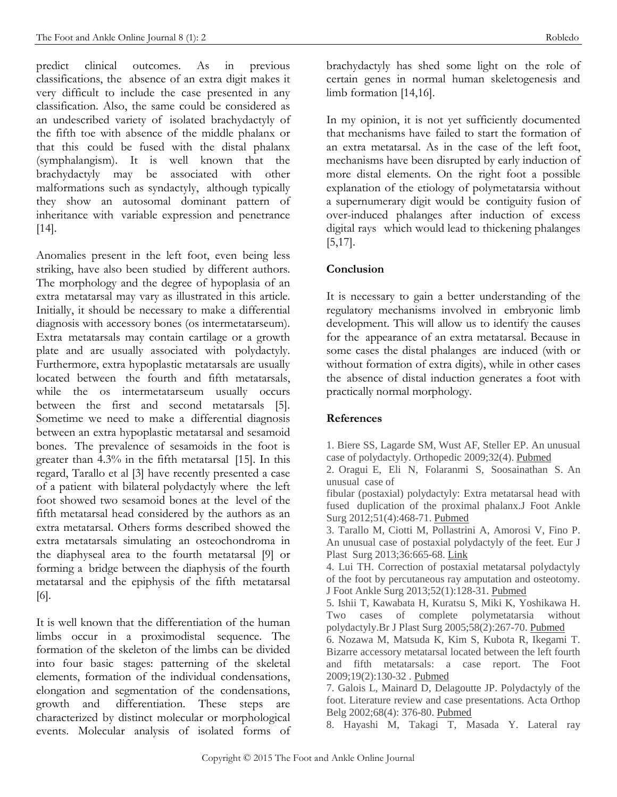predict clinical outcomes. As in previous classifications, the absence of an extra digit makes it very difficult to include the case presented in any classification. Also, the same could be considered as an undescribed variety of isolated brachydactyly of the fifth toe with absence of the middle phalanx or that this could be fused with the distal phalanx (symphalangism). It is well known that the brachydactyly may be associated with other malformations such as syndactyly, although typically they show an autosomal dominant pattern of inheritance with variable expression and penetrance [14].

Anomalies present in the left foot, even being less striking, have also been studied by different authors. The morphology and the degree of hypoplasia of an extra metatarsal may vary as illustrated in this article. Initially, it should be necessary to make a differential diagnosis with accessory bones (os intermetatarseum). Extra metatarsals may contain cartilage or a growth plate and are usually associated with polydactyly. Furthermore, extra hypoplastic metatarsals are usually located between the fourth and fifth metatarsals, while the os intermetatarseum usually occurs between the first and second metatarsals [5]. Sometime we need to make a differential diagnosis between an extra hypoplastic metatarsal and sesamoid bones. The prevalence of sesamoids in the foot is greater than 4.3% in the fifth metatarsal [15]. In this regard, Tarallo et al [3] have recently presented a case of a patient with bilateral polydactyly where the left foot showed two sesamoid bones at the level of the fifth metatarsal head considered by the authors as an extra metatarsal. Others forms described showed the extra metatarsals simulating an osteochondroma in the diaphyseal area to the fourth metatarsal [9] or forming a bridge between the diaphysis of the fourth metatarsal and the epiphysis of the fifth metatarsal [6].

It is well known that the differentiation of the human limbs occur in a proximodistal sequence. The formation of the skeleton of the limbs can be divided into four basic stages: patterning of the skeletal elements, formation of the individual condensations, elongation and segmentation of the condensations, growth and differentiation. These steps are characterized by distinct molecular or morphological events. Molecular analysis of isolated forms of

brachydactyly has shed some light on the role of certain genes in normal human skeletogenesis and limb formation [14,16].

In my opinion, it is not yet sufficiently documented that mechanisms have failed to start the formation of an extra metatarsal. As in the case of the left foot, mechanisms have been disrupted by early induction of more distal elements. On the right foot a possible explanation of the etiology of polymetatarsia without a supernumerary digit would be contiguity fusion of over-induced phalanges after induction of excess digital rays which would lead to thickening phalanges [5,17].

# **Conclusion**

It is necessary to gain a better understanding of the regulatory mechanisms involved in embryonic limb development. This will allow us to identify the causes for the appearance of an extra metatarsal. Because in some cases the distal phalanges are induced (with or without formation of extra digits), while in other cases the absence of distal induction generates a foot with practically normal morphology.

### **References**

1. Biere SS, Lagarde SM, Wust AF, Steller EP. An unusual case of polydactyly. Orthopedic 2009;32(4). [Pubmed](http://www.ncbi.nlm.nih.gov/pubmed/19388603)

2. Oragui E, Eli N, Folaranmi S, Soosainathan S. An unusual case of

fibular (postaxial) polydactyly: Extra metatarsal head with fused duplication of the proximal phalanx.J Foot Ankle Surg 2012;51(4):468-71. [Pubmed](http://www.ncbi.nlm.nih.gov/pubmed/22297105)

3. Tarallo M, Ciotti M, Pollastrini A, Amorosi V, Fino P. An unusual case of postaxial polydactyly of the feet. Eur J Plast Surg 2013;36:665-68. [Link](http://link.springer.com/article/10.1007/s00238-013-0831-6#page-1)

4. Lui TH. Correction of postaxial metatarsal polydactyly of the foot by percutaneous ray amputation and osteotomy. J Foot Ankle Surg 2013;52(1):128-31. [Pubmed](http://www.ncbi.nlm.nih.gov/pubmed/23063205)

5. Ishii T, Kawabata H, Kuratsu S, Miki K, Yoshikawa H. Two cases of complete polymetatarsia without polydactyly.Br J Plast Surg 2005;58(2):267-70. [Pubmed](http://www.ncbi.nlm.nih.gov/pubmed/15710126)

6. Nozawa M, Matsuda K, Kim S, Kubota R, Ikegami T. Bizarre accessory metatarsal located between the left fourth and fifth metatarsals: a case report. The Foot 2009;19(2):130-32 . [Pubmed](http://www.ncbi.nlm.nih.gov/pubmed/20307464)

7. Galois L, Mainard D, Delagoutte JP. Polydactyly of the foot. Literature review and case presentations. Acta Orthop Belg 2002;68(4): 376-80. [Pubmed](http://www.ncbi.nlm.nih.gov/pubmed/12415940)

8. Hayashi M, Takagi T, Masada Y. Lateral ray